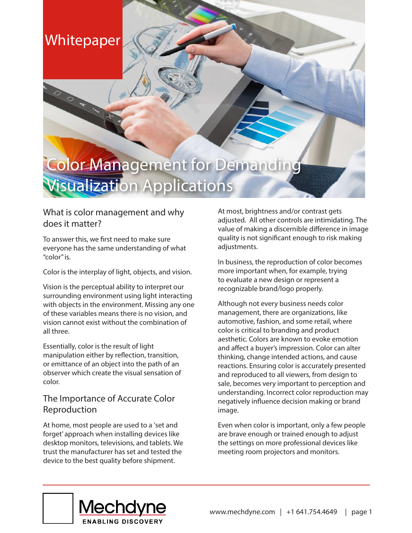## **Whitepaper**

# **Color Management for Demanding Visualization Applications**

## What is color management and why does it matter?

To answer this, we first need to make sure everyone has the same understanding of what "color" is.

Color is the interplay of light, objects, and vision.

Vision is the perceptual ability to interpret our surrounding environment using light interacting with objects in the environment. Missing any one of these variables means there is no vision, and vision cannot exist without the combination of all three.

Essentially, color is the result of light manipulation either by reflection, transition, or emittance of an object into the path of an observer which create the visual sensation of color.

### The Importance of Accurate Color Reproduction

At home, most people are used to a 'set and forget' approach when installing devices like desktop monitors, televisions, and tablets. We trust the manufacturer has set and tested the device to the best quality before shipment.

At most, brightness and/or contrast gets adjusted. All other controls are intimidating. The value of making a discernible difference in image quality is not significant enough to risk making adiustments.

In business, the reproduction of color becomes more important when, for example, trying to evaluate a new design or represent a recognizable brand/logo properly.

Although not every business needs color management, there are organizations, like automotive, fashion, and some retail, where color is critical to branding and product aesthetic. Colors are known to evoke emotion and affect a buyer's impression. Color can alter thinking, change intended actions, and cause reactions. Ensuring color is accurately presented and reproduced to all viewers, from design to sale, becomes very important to perception and understanding. Incorrect color reproduction may negatively influence decision making or brand image.

Even when color is important, only a few people are brave enough or trained enough to adjust the settings on more professional devices like meeting room projectors and monitors.

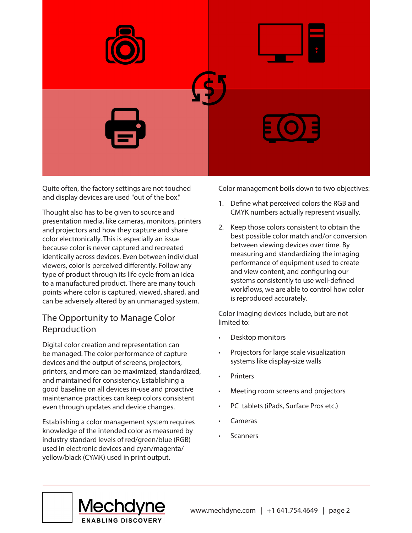

Quite often, the factory settings are not touched and display devices are used "out of the box."

Thought also has to be given to source and presentation media, like cameras, monitors, printers and projectors and how they capture and share color electronically. This is especially an issue because color is never captured and recreated identically across devices. Even between individual viewers, color is perceived differently. Follow any type of product through its life cycle from an idea to a manufactured product. There are many touch points where color is captured, viewed, shared, and can be adversely altered by an unmanaged system.

### The Opportunity to Manage Color Reproduction

Digital color creation and representation can be managed. The color performance of capture devices and the output of screens, projectors, printers, and more can be maximized, standardized, and maintained for consistency. Establishing a good baseline on all devices in-use and proactive maintenance practices can keep colors consistent even through updates and device changes.

Establishing a color management system requires knowledge of the intended color as measured by industry standard levels of red/green/blue (RGB) used in electronic devices and cyan/magenta/ yellow/black (CYMK) used in print output.

Color management boils down to two objectives:

- 1. Define what perceived colors the RGB and CMYK numbers actually represent visually.
- 2. Keep those colors consistent to obtain the best possible color match and/or conversion between viewing devices over time. By measuring and standardizing the imaging performance of equipment used to create and view content, and configuring our systems consistently to use well-defined workflows, we are able to control how color is reproduced accurately.

Color imaging devices include, but are not limited to:

- Desktop monitors
- Projectors for large scale visualization systems like display-size walls
- **Printers**
- Meeting room screens and projectors
- PC tablets (iPads, Surface Pros etc.)
- Cameras
- **Scanners**

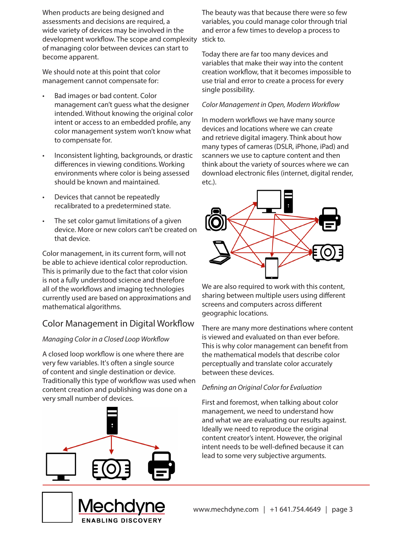When products are being designed and assessments and decisions are required, a wide variety of devices may be involved in the development workflow. The scope and complexity of managing color between devices can start to become apparent.

We should note at this point that color management cannot compensate for:

- Bad images or bad content. Color management can't guess what the designer intended. Without knowing the original color intent or access to an embedded profile, any color management system won't know what to compensate for.
- Inconsistent lighting, backgrounds, or drastic differences in viewing conditions. Working environments where color is being assessed should be known and maintained.
- Devices that cannot be repeatedly recalibrated to a predetermined state.
- The set color gamut limitations of a given device. More or new colors can't be created on that device.

Color management, in its current form, will not be able to achieve identical color reproduction. This is primarily due to the fact that color vision is not a fully understood science and therefore all of the workflows and imaging technologies currently used are based on approximations and mathematical algorithms.

## Color Management in Digital Workflow

### *Managing Color in a Closed Loop Workflow*

A closed loop workflow is one where there are very few variables. It's often a single source of content and single destination or device. Traditionally this type of workflow was used when content creation and publishing was done on a very small number of devices.





Today there are far too many devices and variables that make their way into the content creation workflow, that it becomes impossible to use trial and error to create a process for every single possibility.

### *Color Management in Open, Modern Workflow*

In modern workflows we have many source devices and locations where we can create and retrieve digital imagery. Think about how many types of cameras (DSLR, iPhone, iPad) and scanners we use to capture content and then think about the variety of sources where we can download electronic files (internet, digital render, etc.).



We are also required to work with this content, sharing between multiple users using different screens and computers across different geographic locations.

There are many more destinations where content is viewed and evaluated on than ever before. This is why color management can benefit from the mathematical models that describe color perceptually and translate color accurately between these devices.

### *Defining an Original Color for Evaluation*

First and foremost, when talking about color management, we need to understand how and what we are evaluating our results against. Ideally we need to reproduce the original content creator's intent. However, the original intent needs to be well-defined because it can lead to some very subjective arguments.

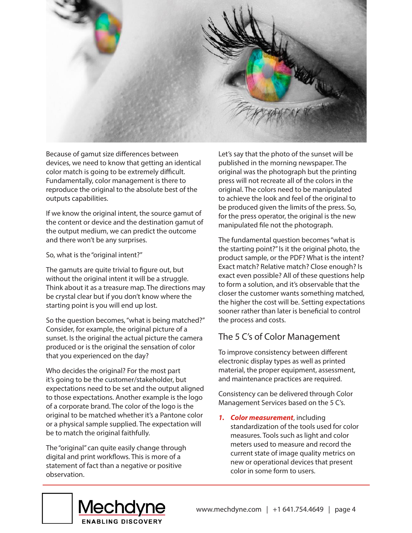

Because of gamut size differences between devices, we need to know that getting an identical color match is going to be extremely difficult. Fundamentally, color management is there to reproduce the original to the absolute best of the outputs capabilities.

If we know the original intent, the source gamut of the content or device and the destination gamut of the output medium, we can predict the outcome and there won't be any surprises.

#### So, what is the "original intent?"

The gamuts are quite trivial to figure out, but without the original intent it will be a struggle. Think about it as a treasure map. The directions may be crystal clear but if you don't know where the starting point is you will end up lost.

So the question becomes, "what is being matched?" Consider, for example, the original picture of a sunset. Is the original the actual picture the camera produced or is the original the sensation of color that you experienced on the day?

Who decides the original? For the most part it's going to be the customer/stakeholder, but expectations need to be set and the output aligned to those expectations. Another example is the logo of a corporate brand. The color of the logo is the original to be matched whether it's a Pantone color or a physical sample supplied. The expectation will be to match the original faithfully.

The "original" can quite easily change through digital and print workflows. This is more of a statement of fact than a negative or positive observation.

Let's say that the photo of the sunset will be published in the morning newspaper. The original was the photograph but the printing press will not recreate all of the colors in the original. The colors need to be manipulated to achieve the look and feel of the original to be produced given the limits of the press. So, for the press operator, the original is the new manipulated file not the photograph.

The fundamental question becomes "what is the starting point?" Is it the original photo, the product sample, or the PDF? What is the intent? Exact match? Relative match? Close enough? Is exact even possible? All of these questions help to form a solution, and it's observable that the closer the customer wants something matched, the higher the cost will be. Setting expectations sooner rather than later is beneficial to control the process and costs.

## The 5 C's of Color Management

To improve consistency between different electronic display types as well as printed material, the proper equipment, assessment, and maintenance practices are required.

Consistency can be delivered through Color Management Services based on the 5 C's.

*1. Color measurement*, including standardization of the tools used for color measures. Tools such as light and color meters used to measure and record the current state of image quality metrics on new or operational devices that present color in some form to users.

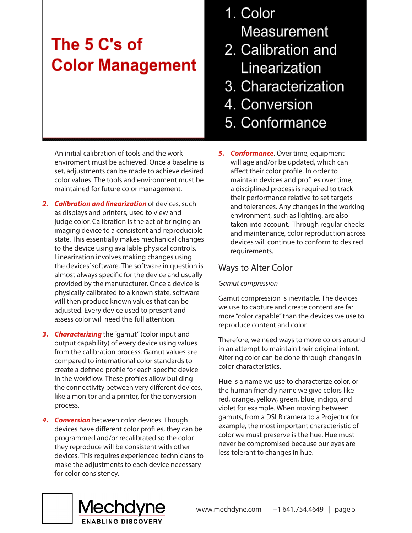## The 5 C's of **Color Management**

An initial calibration of tools and the work enviroment must be achieved. Once a baseline is set, adjustments can be made to achieve desired color values. The tools and environment must be maintained for future color management.

- *2. Calibration and linearization* of devices, such as displays and printers, used to view and judge color. Calibration is the act of bringing an imaging device to a consistent and reproducible state. This essentially makes mechanical changes to the device using available physical controls. Linearization involves making changes using the devices' software. The software in question is almost always specific for the device and usually provided by the manufacturer. Once a device is physically calibrated to a known state, software will then produce known values that can be adjusted. Every device used to present and assess color will need this full attention.
- **3. Characterizing** the "gamut" (color input and output capability) of every device using values from the calibration process. Gamut values are compared to international color standards to create a defined profile for each specific device in the workflow. These profiles allow building the connectivity between very different devices, like a monitor and a printer, for the conversion process.
- *4. Conversion* between color devices. Though devices have different color profiles, they can be programmed and/or recalibrated so the color they reproduce will be consistent with other devices. This requires experienced technicians to make the adjustments to each device necessary for color consistency.
- 1. Color Measurement
- 2. Calibration and Linearization
- 3. Characterization
- 4. Conversion
- 5. Conformance
- *5. Conformance*. Over time, equipment will age and/or be updated, which can affect their color profile. In order to maintain devices and profiles over time, a disciplined process is required to track their performance relative to set targets and tolerances. Any changes in the working environment, such as lighting, are also taken into account. Through regular checks and maintenance, color reproduction across devices will continue to conform to desired requirements.

### Ways to Alter Color

### *Gamut compression*

Gamut compression is inevitable. The devices we use to capture and create content are far more "color capable" than the devices we use to reproduce content and color.

Therefore, we need ways to move colors around in an attempt to maintain their original intent. Altering color can be done through changes in color characteristics.

**Hue** is a name we use to characterize color, or the human friendly name we give colors like red, orange, yellow, green, blue, indigo, and violet for example. When moving between gamuts, from a DSLR camera to a Projector for example, the most important characteristic of color we must preserve is the hue. Hue must never be compromised because our eyes are less tolerant to changes in hue.

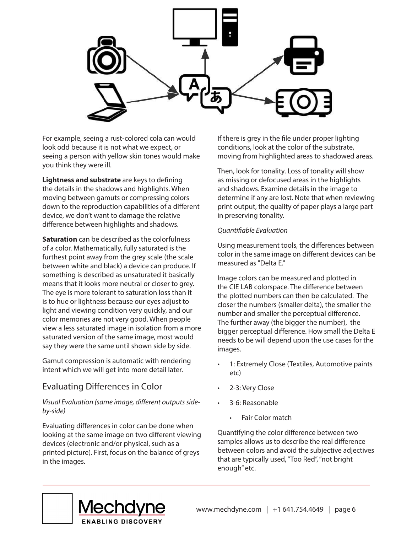

For example, seeing a rust-colored cola can would look odd because it is not what we expect, or seeing a person with yellow skin tones would make you think they were ill.

**Lightness and substrate** are keys to defining the details in the shadows and highlights. When moving between gamuts or compressing colors down to the reproduction capabilities of a different device, we don't want to damage the relative difference between highlights and shadows.

**Saturation** can be described as the colorfulness of a color. Mathematically, fully saturated is the furthest point away from the grey scale (the scale between white and black) a device can produce. If something is described as unsaturated it basically means that it looks more neutral or closer to grey. The eye is more tolerant to saturation loss than it is to hue or lightness because our eyes adjust to light and viewing condition very quickly, and our color memories are not very good. When people view a less saturated image in isolation from a more saturated version of the same image, most would say they were the same until shown side by side.

Gamut compression is automatic with rendering intent which we will get into more detail later.

### Evaluating Differences in Color

*Visual Evaluation (same image, different outputs sideby-side)*

Evaluating differences in color can be done when looking at the same image on two different viewing devices (electronic and/or physical, such as a printed picture). First, focus on the balance of greys in the images.

If there is grey in the file under proper lighting conditions, look at the color of the substrate, moving from highlighted areas to shadowed areas.

Then, look for tonality. Loss of tonality will show as missing or defocused areas in the highlights and shadows. Examine details in the image to determine if any are lost. Note that when reviewing print output, the quality of paper plays a large part in preserving tonality.

#### *Quantifiable Evaluation*

Using measurement tools, the differences between color in the same image on different devices can be measured as "Delta E."

Image colors can be measured and plotted in the CIE LAB colorspace. The difference between the plotted numbers can then be calculated. The closer the numbers (smaller delta), the smaller the number and smaller the perceptual difference. The further away (the bigger the number), the bigger perceptual difference. How small the Delta E needs to be will depend upon the use cases for the images.

- 1: Extremely Close (Textiles, Automotive paints etc)
- 2-3: Very Close
- 3-6: Reasonable
	- Fair Color match

Quantifying the color difference between two samples allows us to describe the real difference between colors and avoid the subjective adjectives that are typically used, "Too Red", "not bright enough" etc.

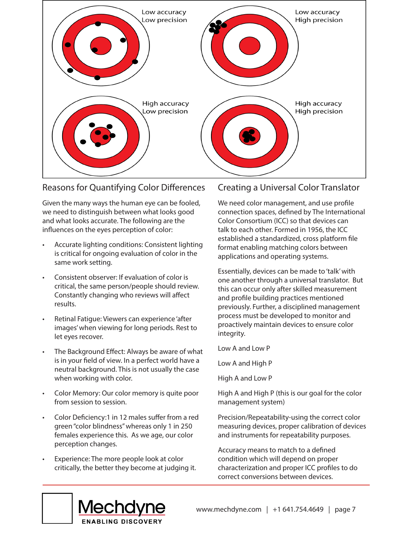

### Reasons for Quantifying Color Differences

Given the many ways the human eye can be fooled, we need to distinguish between what looks good and what looks accurate. The following are the influences on the eyes perception of color:

- Accurate lighting conditions: Consistent lighting is critical for ongoing evaluation of color in the same work setting.
- Consistent observer: If evaluation of color is critical, the same person/people should review. Constantly changing who reviews will affect results.
- Retinal Fatigue: Viewers can experience 'after images' when viewing for long periods. Rest to let eyes recover.
- The Background Effect: Always be aware of what is in your field of view. In a perfect world have a neutral background. This is not usually the case when working with color.
- Color Memory: Our color memory is quite poor from session to session.
- Color Deficiency:1 in 12 males suffer from a red green "color blindness" whereas only 1 in 250 females experience this. As we age, our color perception changes.
- Experience: The more people look at color critically, the better they become at judging it.

### Creating a Universal Color Translator

We need color management, and use profile connection spaces, defined by The International Color Consortium (ICC) so that devices can talk to each other. Formed in 1956, the ICC established a standardized, cross platform file format enabling matching colors between applications and operating systems.

Essentially, devices can be made to 'talk' with one another through a universal translator. But this can occur only after skilled measurement and profile building practices mentioned previously. Further, a disciplined management process must be developed to monitor and proactively maintain devices to ensure color integrity.

Low A and Low P

Low A and High P

High A and Low P

High A and High P (this is our goal for the color management system)

Precision/Repeatability-using the correct color measuring devices, proper calibration of devices and instruments for repeatability purposes.

Accuracy means to match to a defined condition which will depend on proper characterization and proper ICC profiles to do correct conversions between devices.